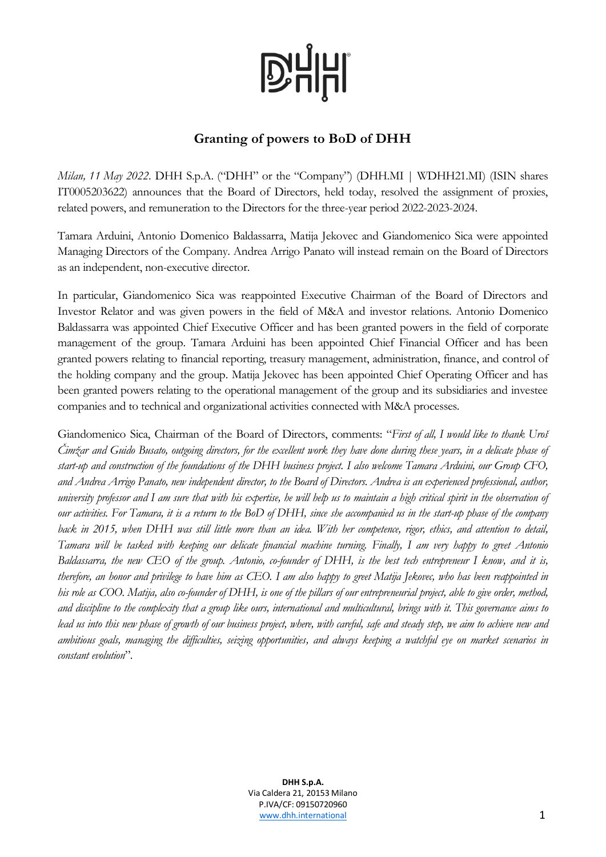## **D'HHI**

### **Granting of powers to BoD of DHH**

*Milan, 11 May 2022*. DHH S.p.A. ("DHH" or the "Company") (DHH.MI | WDHH21.MI) (ISIN shares IT0005203622) announces that the Board of Directors, held today, resolved the assignment of proxies, related powers, and remuneration to the Directors for the three-year period 2022-2023-2024.

Tamara Arduini, Antonio Domenico Baldassarra, Matija Jekovec and Giandomenico Sica were appointed Managing Directors of the Company. Andrea Arrigo Panato will instead remain on the Board of Directors as an independent, non-executive director.

In particular, Giandomenico Sica was reappointed Executive Chairman of the Board of Directors and Investor Relator and was given powers in the field of M&A and investor relations. Antonio Domenico Baldassarra was appointed Chief Executive Officer and has been granted powers in the field of corporate management of the group. Tamara Arduini has been appointed Chief Financial Officer and has been granted powers relating to financial reporting, treasury management, administration, finance, and control of the holding company and the group. Matija Jekovec has been appointed Chief Operating Officer and has been granted powers relating to the operational management of the group and its subsidiaries and investee companies and to technical and organizational activities connected with M&A processes.

Giandomenico Sica, Chairman of the Board of Directors, comments: "*First of all, I would like to thank Uroš Čimžar and Guido Busato, outgoing directors, for the excellent work they have done during these years, in a delicate phase of start-up and construction of the foundations of the DHH business project. I also welcome Tamara Arduini, our Group CFO, and Andrea Arrigo Panato, new independent director, to the Board of Directors. Andrea is an experienced professional, author, university professor and I am sure that with his expertise, he will help us to maintain a high critical spirit in the observation of our activities. For Tamara, it is a return to the BoD of DHH, since she accompanied us in the start-up phase of the company back in 2015, when DHH was still little more than an idea. With her competence, rigor, ethics, and attention to detail, Tamara will be tasked with keeping our delicate financial machine turning. Finally, I am very happy to greet Antonio Baldassarra, the new CEO of the group. Antonio, co-founder of DHH, is the best tech entrepreneur I know, and it is, therefore, an honor and privilege to have him as CEO. I am also happy to greet Matija Jekovec, who has been reappointed in his role as COO. Matija, also co-founder of DHH, is one of the pillars of our entrepreneurial project, able to give order, method, and discipline to the complexity that a group like ours, international and multicultural, brings with it. This governance aims to lead us into this new phase of growth of our business project, where, with careful, safe and steady step, we aim to achieve new and ambitious goals, managing the difficulties, seizing opportunities, and always keeping a watchful eye on market scenarios in constant evolution*".

> **DHH S.p.A.** Via Caldera 21, 20153 Milano P.IVA/CF: 09150720960 [www.dhh.international](http://www.dominion.it/) 1